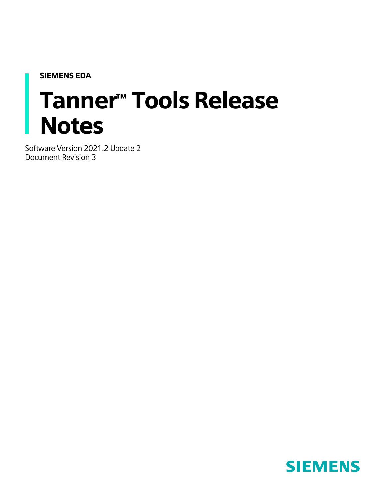<span id="page-0-0"></span>SIEMENS EDA

# Tanner™ Tools Release **Notes**

Software Version 2021.2 Update 2 Document Revision 3

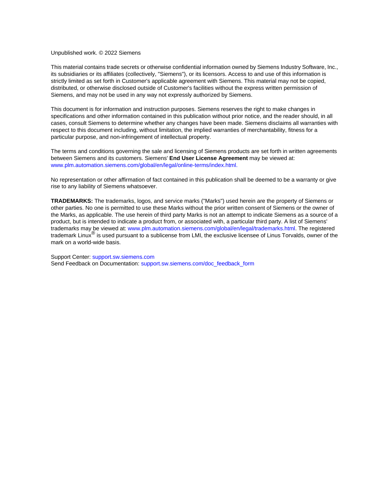#### Unpublished work. © 2022 Siemens

This material contains trade secrets or otherwise confidential information owned by Siemens Industry Software, Inc., its subsidiaries or its affiliates (collectively, "Siemens"), or its licensors. Access to and use of this information is strictly limited as set forth in Customer's applicable agreement with Siemens. This material may not be copied, distributed, or otherwise disclosed outside of Customer's facilities without the express written permission of Siemens, and may not be used in any way not expressly authorized by Siemens.

This document is for information and instruction purposes. Siemens reserves the right to make changes in specifications and other information contained in this publication without prior notice, and the reader should, in all cases, consult Siemens to determine whether any changes have been made. Siemens disclaims all warranties with respect to this document including, without limitation, the implied warranties of merchantability, fitness for a particular purpose, and non-infringement of intellectual property.

The terms and conditions governing the sale and licensing of Siemens products are set forth in written agreements between Siemens and its customers. Siemens' **End User License Agreement** may be viewed at: [www.plm.automation.siemens.com/global/en/legal/online-terms/index.html.](https://www.plm.automation.siemens.com/global/en/legal/online-terms/index.html)

No representation or other affirmation of fact contained in this publication shall be deemed to be a warranty or give rise to any liability of Siemens whatsoever.

**TRADEMARKS:** The trademarks, logos, and service marks ("Marks") used herein are the property of Siemens or other parties. No one is permitted to use these Marks without the prior written consent of Siemens or the owner of the Marks, as applicable. The use herein of third party Marks is not an attempt to indicate Siemens as a source of a product, but is intended to indicate a product from, or associated with, a particular third party. A list of Siemens' trademarks may be viewed at: [www.plm.automation.siemens.com/global/en/legal/trademarks.html.](https://www.plm.automation.siemens.com/global/en/legal/trademarks.html) The registered trademark Linux® is used pursuant to a sublicense from LMI, the exclusive licensee of Linus Torvalds, owner of the mark on a world-wide basis.

Support Center[: support.sw.siemens.com](https://support.sw.siemens.com/) Send Feedback on Documentation: [support.sw.siemens.com/doc\\_feedback\\_form](https://support.sw.siemens.com/doc_feedback_form)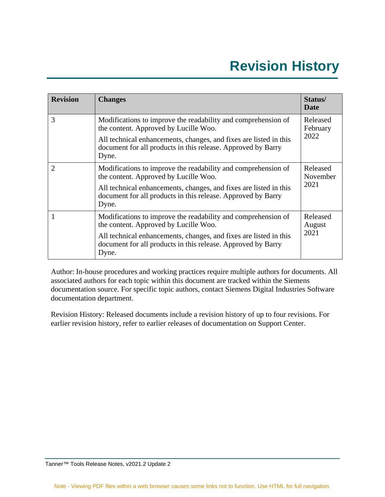# **Revision History**

<span id="page-2-0"></span>

| <b>Revision</b>             | <b>Changes</b>                                                                                                                             | Status/<br>Date              |  |
|-----------------------------|--------------------------------------------------------------------------------------------------------------------------------------------|------------------------------|--|
| 3                           | Modifications to improve the readability and comprehension of<br>the content. Approved by Lucille Woo.                                     | Released<br>February         |  |
|                             | All technical enhancements, changes, and fixes are listed in this<br>document for all products in this release. Approved by Barry<br>Dyne. | 2022                         |  |
| $\mathcal{D}_{\mathcal{L}}$ | Modifications to improve the readability and comprehension of<br>the content. Approved by Lucille Woo.                                     | Released<br>November<br>2021 |  |
|                             | All technical enhancements, changes, and fixes are listed in this<br>document for all products in this release. Approved by Barry<br>Dyne. |                              |  |
|                             | Modifications to improve the readability and comprehension of<br>the content. Approved by Lucille Woo.                                     | Released<br>August           |  |
|                             | All technical enhancements, changes, and fixes are listed in this<br>document for all products in this release. Approved by Barry<br>Dyne. | 2021                         |  |

Author: In-house procedures and working practices require multiple authors for documents. All associated authors for each topic within this document are tracked within the Siemens documentation source. For specific topic authors, contact Siemens Digital Industries Software documentation department.

Revision History: Released documents include a revision history of up to four revisions. For earlier revision history, refer to earlier releases of documentation on Support Center.

Tanner™ Tools Release Notes, v2021.2 Update 2

Note - Viewing PDF files within a web browser causes some links not to function. Use HTML for full navigation.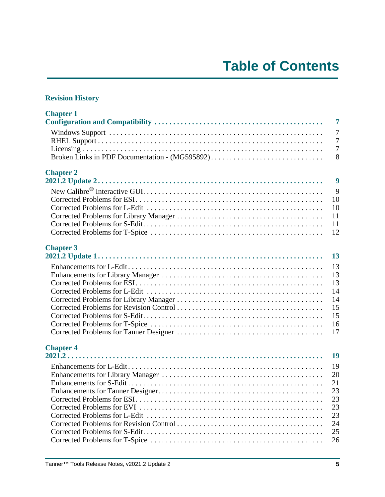#### **[Revision History](#page-2-0)**

| <b>Chapter 1</b>                               | $\overline{7}$ |
|------------------------------------------------|----------------|
|                                                | $\overline{7}$ |
|                                                | $\overline{7}$ |
|                                                | $\overline{7}$ |
| Broken Links in PDF Documentation - (MG595892) | 8              |
| <b>Chapter 2</b>                               | 9              |
|                                                | 9              |
|                                                | 10             |
|                                                | 10             |
|                                                | 11             |
|                                                | 11             |
|                                                | 12             |
| <b>Chapter 3</b>                               | 13             |
|                                                | 13             |
|                                                | 13             |
|                                                | 13             |
|                                                | 14             |
|                                                | 14             |
|                                                | 15             |
|                                                | 15             |
|                                                | 16             |
|                                                | 17             |
| <b>Chapter 4</b>                               | 19             |
|                                                | 19             |
|                                                | 20             |
|                                                | 21             |
|                                                | 23             |
|                                                | 23             |
|                                                | 23             |
|                                                | 23             |
|                                                | 24             |
|                                                | 25             |
|                                                | 26             |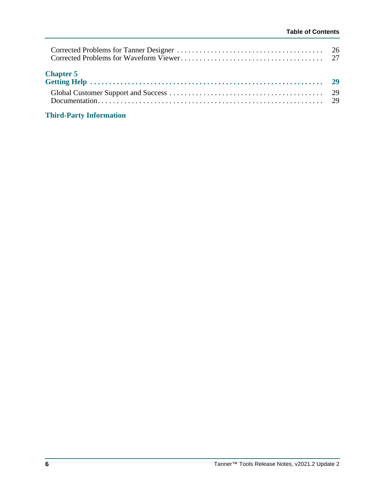| <b>Chapter 5</b> |  |
|------------------|--|
|                  |  |

#### **[Third-Party Information](#page-30-0)**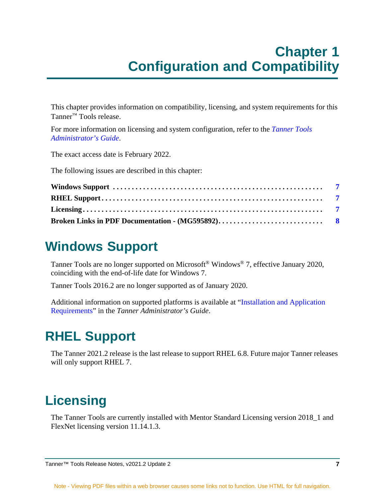### **Chapter 1 Configuration and Compatibility**

<span id="page-6-0"></span>This chapter provides information on compatibility, licensing, and system requirements for this Tanner™ Tools release.

For more information on licensing and system configuration, refer to the *[Tanner Tools](#page-0-0)  [Administrator's Guide](#page-0-0)*.

The exact access date is February 2022.

The following issues are described in this chapter:

#### <span id="page-6-1"></span>**Windows Support**

Tanner Tools are no longer supported on Microsoft® Windows® 7, effective January 2020, coinciding with the end-of-life date for Windows 7.

Tanner Tools 2016.2 are no longer supported as of January 2020.

Additional information on supported platforms is available at "Installation and Application Requirements" in the *Tanner Administrator's Guide*.

#### <span id="page-6-2"></span>**RHEL Support**

The Tanner 2021.2 release is the last release to support RHEL 6.8. Future major Tanner releases will only support RHEL 7.

#### <span id="page-6-3"></span>**Licensing**

The Tanner Tools are currently installed with Mentor Standard Licensing version 2018\_1 and FlexNet licensing version 11.14.1.3.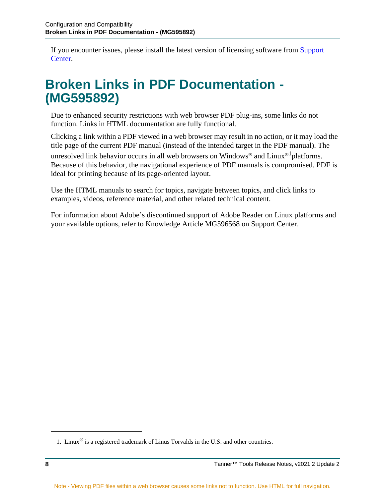If you encounter issues, please install the latest version of licensing software from [Support](http://support.mentor.com)  [Center.](http://support.mentor.com)

#### <span id="page-7-0"></span>**Broken Links in PDF Documentation - (MG595892)**

Due to enhanced security restrictions with web browser PDF plug-ins, some links do not function. Links in HTML documentation are fully functional.

Clicking a link within a PDF viewed in a web browser may result in no action, or it may load the title page of the current PDF manual (instead of the intended target in the PDF manual). The

unresolved link behavior occurs in all web browsers on Windows<sup>®</sup> and Linux<sup>®1</sup> platforms. Because of this behavior, the navigational experience of PDF manuals is compromised. PDF is ideal for printing because of its page-oriented layout.

Use the HTML manuals to search for topics, navigate between topics, and click links to examples, videos, reference material, and other related technical content.

For information about Adobe's discontinued support of Adobe Reader on Linux platforms and your available options, refer to Knowledge Article MG596568 on Support Center.

<sup>1.</sup> Linux<sup>®</sup> is a registered trademark of Linus Torvalds in the U.S. and other countries.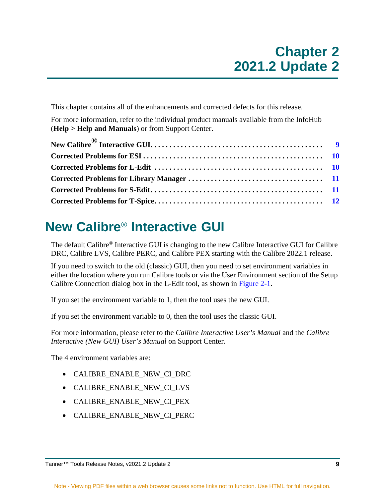<span id="page-8-0"></span>This chapter contains all of the enhancements and corrected defects for this release.

For more information, refer to the individual product manuals available from the InfoHub (**Help > Help and Manuals**) or from Support Center.

### <span id="page-8-1"></span>**New Calibre**® **Interactive GUI**

The default Calibre® Interactive GUI is changing to the new Calibre Interactive GUI for Calibre DRC, Calibre LVS, Calibre PERC, and Calibre PEX starting with the Calibre 2022.1 release.

If you need to switch to the old (classic) GUI, then you need to set environment variables in either the location where you run Calibre tools or via the User Environment section of the Setup Calibre Connection dialog box in the L-Edit tool, as shown in [Figure 2-1](#page-9-2).

If you set the environment variable to 1, then the tool uses the new GUI.

If you set the environment variable to 0, then the tool uses the classic GUI.

For more information, please refer to the *Calibre Interactive User's Manual* and the *Calibre Interactive (New GUI) User's Manual* on Support Center.

The 4 environment variables are:

- CALIBRE ENABLE NEW CI DRC
- CALIBRE\_ENABLE\_NEW\_CI\_LVS
- CALIBRE\_ENABLE\_NEW\_CI\_PEX
- CALIBRE\_ENABLE\_NEW\_CI\_PERC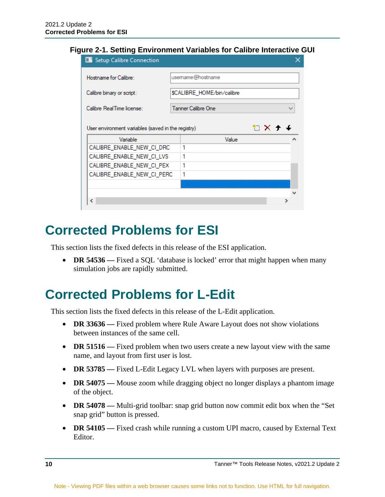#### <span id="page-9-2"></span>**Figure 2-1. Setting Environment Variables for Calibre Interactive GUI**

| Setup Calibre Connection                                              |  |                            |  |  |
|-----------------------------------------------------------------------|--|----------------------------|--|--|
| Hostname for Calibre:                                                 |  | usemame@hostname           |  |  |
| Calibre binary or script:                                             |  | \$CALIBRE_HOME/bin/calibre |  |  |
| Calibre RealTime license:                                             |  | <b>Tanner Calibre One</b>  |  |  |
| €X <del>1</del><br>User environment variables (saved in the registry) |  |                            |  |  |
| Variable                                                              |  | Value                      |  |  |
| CALIBRE_ENABLE_NEW_CI_DRC                                             |  | 1                          |  |  |
| CALIBRE_ENABLE_NEW_CI_LVS                                             |  | 1                          |  |  |
| CALIBRE_ENABLE_NEW_CI_PEX                                             |  | 1                          |  |  |
| CALIBRE ENABLE NEW CI PERC                                            |  | 1                          |  |  |
|                                                                       |  |                            |  |  |
|                                                                       |  |                            |  |  |
| ∢                                                                     |  |                            |  |  |

#### <span id="page-9-0"></span>**Corrected Problems for ESI**

This section lists the fixed defects in this release of the ESI application.

• **DR 54536** — Fixed a SQL 'database is locked' error that might happen when many simulation jobs are rapidly submitted.

#### <span id="page-9-1"></span>**Corrected Problems for L-Edit**

This section lists the fixed defects in this release of the L-Edit application.

- **DR 33636** Fixed problem where Rule Aware Layout does not show violations between instances of the same cell.
- **DR 51516** Fixed problem when two users create a new layout view with the same name, and layout from first user is lost.
- **DR 53785** Fixed L-Edit Legacy LVL when layers with purposes are present.
- **DR 54075** Mouse zoom while dragging object no longer displays a phantom image of the object.
- **DR 54078** Multi-grid toolbar: snap grid button now commit edit box when the "Set snap grid" button is pressed.
- **DR 54105** Fixed crash while running a custom UPI macro, caused by External Text Editor.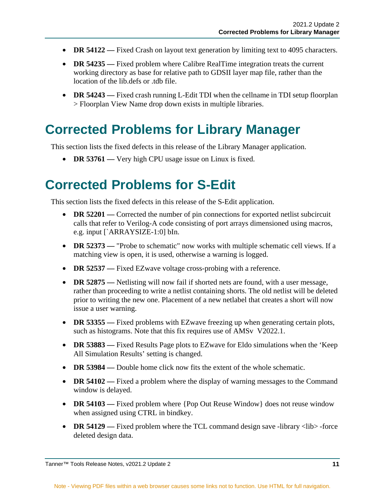- **DR 54122** Fixed Crash on layout text generation by limiting text to 4095 characters.
- **DR 54235** Fixed problem where Calibre RealTime integration treats the current working directory as base for relative path to GDSII layer map file, rather than the location of the lib.defs or .tdb file.
- **DR 54243** Fixed crash running L-Edit TDI when the cellname in TDI setup floorplan > Floorplan View Name drop down exists in multiple libraries.

#### <span id="page-10-0"></span>**Corrected Problems for Library Manager**

This section lists the fixed defects in this release of the Library Manager application.

• **DR 53761** — Very high CPU usage issue on Linux is fixed.

#### <span id="page-10-1"></span>**Corrected Problems for S-Edit**

This section lists the fixed defects in this release of the S-Edit application.

- **DR 52201** Corrected the number of pin connections for exported netlist subcircuit calls that refer to Verilog-A code consisting of port arrays dimensioned using macros, e.g. input [`ARRAYSIZE-1:0] bIn.
- **DR 52373** "Probe to schematic" now works with multiple schematic cell views. If a matching view is open, it is used, otherwise a warning is logged.
- **DR 52537** Fixed EZwave voltage cross-probing with a reference.
- **DR 52875** Netlisting will now fail if shorted nets are found, with a user message, rather than proceeding to write a netlist containing shorts. The old netlist will be deleted prior to writing the new one. Placement of a new netlabel that creates a short will now issue a user warning.
- **DR 53355** Fixed problems with EZwave freezing up when generating certain plots, such as histograms. Note that this fix requires use of AMSv V2022.1.
- **DR 53883** Fixed Results Page plots to EZwave for Eldo simulations when the 'Keep All Simulation Results' setting is changed.
- **DR 53984** Double home click now fits the extent of the whole schematic.
- **DR 54102** Fixed a problem where the display of warning messages to the Command window is delayed.
- **DR 54103** Fixed problem where {Pop Out Reuse Window} does not reuse window when assigned using CTRL in bindkey.
- **DR 54129** Fixed problem where the TCL command design save -library <lib> -force deleted design data.

Tanner™ Tools Release Notes, v2021.2 Update 2 **11**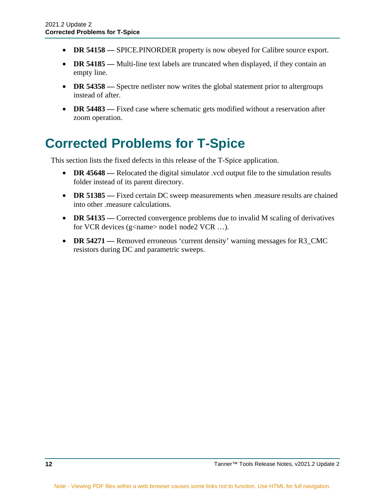- **DR 54158** SPICE.PINORDER property is now obeyed for Calibre source export.
- **DR 54185** Multi-line text labels are truncated when displayed, if they contain an empty line.
- **DR 54358** Spectre netlister now writes the global statement prior to altergroups instead of after.
- **DR 54483** Fixed case where schematic gets modified without a reservation after zoom operation.

#### <span id="page-11-0"></span>**Corrected Problems for T-Spice**

This section lists the fixed defects in this release of the T-Spice application.

- **DR 45648** Relocated the digital simulator . vcd output file to the simulation results folder instead of its parent directory.
- **DR 51385** Fixed certain DC sweep measurements when measure results are chained into other .measure calculations.
- **DR 54135** Corrected convergence problems due to invalid M scaling of derivatives for VCR devices (g<name> node1 node2 VCR ...).
- **DR 54271** Removed erroneous 'current density' warning messages for R3\_CMC resistors during DC and parametric sweeps.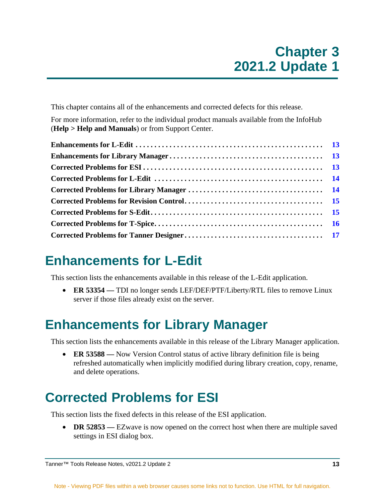<span id="page-12-0"></span>This chapter contains all of the enhancements and corrected defects for this release.

For more information, refer to the individual product manuals available from the InfoHub (**Help > Help and Manuals**) or from Support Center.

#### <span id="page-12-1"></span>**Enhancements for L-Edit**

This section lists the enhancements available in this release of the L-Edit application.

• **ER 53354** — TDI no longer sends LEF/DEF/PTF/Liberty/RTL files to remove Linux server if those files already exist on the server.

#### <span id="page-12-2"></span>**Enhancements for Library Manager**

This section lists the enhancements available in this release of the Library Manager application.

• **ER 53588** — Now Version Control status of active library definition file is being refreshed automatically when implicitly modified during library creation, copy, rename, and delete operations.

## <span id="page-12-3"></span>**Corrected Problems for ESI**

This section lists the fixed defects in this release of the ESI application.

• **DR 52853** — EZwave is now opened on the correct host when there are multiple saved settings in ESI dialog box.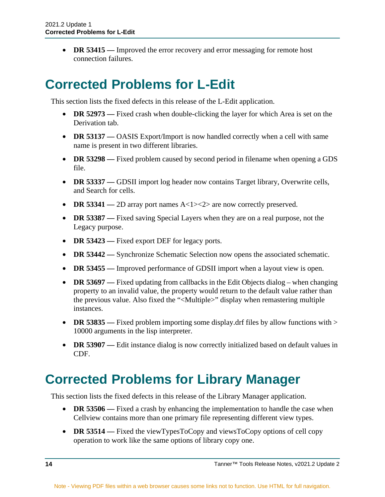• **DR 53415** — Improved the error recovery and error messaging for remote host connection failures.

#### <span id="page-13-0"></span>**Corrected Problems for L-Edit**

This section lists the fixed defects in this release of the L-Edit application.

- **DR 52973** Fixed crash when double-clicking the layer for which Area is set on the Derivation tab.
- **DR 53137** OASIS Export/Import is now handled correctly when a cell with same name is present in two different libraries.
- **DR 53298** Fixed problem caused by second period in filename when opening a GDS file.
- **DR 53337** GDSII import log header now contains Target library, Overwrite cells, and Search for cells.
- **DR 53341** 2D array port names A < 1 > >  $\leq$  2 are now correctly preserved.
- **DR 53387** Fixed saving Special Layers when they are on a real purpose, not the Legacy purpose.
- **DR 53423** Fixed export DEF for legacy ports.
- **DR 53442** Synchronize Schematic Selection now opens the associated schematic.
- **DR 53455** Improved performance of GDSII import when a layout view is open.
- **DR 53697** Fixed updating from callbacks in the Edit Objects dialog when changing property to an invalid value, the property would return to the default value rather than the previous value. Also fixed the "<Multiple>" display when remastering multiple instances.
- **DR 53835** Fixed problem importing some display.drf files by allow functions with > 10000 arguments in the lisp interpreter.
- **DR 53907** Edit instance dialog is now correctly initialized based on default values in CDF.

#### <span id="page-13-1"></span>**Corrected Problems for Library Manager**

This section lists the fixed defects in this release of the Library Manager application.

- **DR 53506** Fixed a crash by enhancing the implementation to handle the case when Cellview contains more than one primary file representing different view types.
- **DR 53514** Fixed the viewTypesToCopy and viewsToCopy options of cell copy operation to work like the same options of library copy one.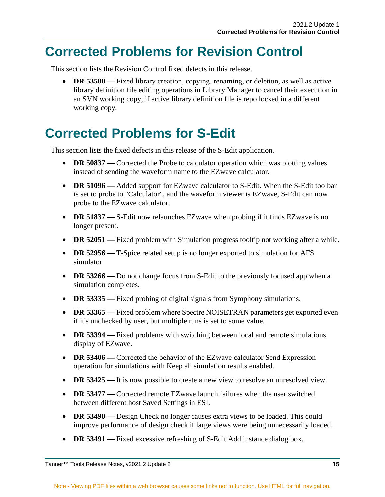#### <span id="page-14-0"></span>**Corrected Problems for Revision Control**

This section lists the Revision Control fixed defects in this release.

• **DR 53580 —** Fixed library creation, copying, renaming, or deletion, as well as active library definition file editing operations in Library Manager to cancel their execution in an SVN working copy, if active library definition file is repo locked in a different working copy.

#### <span id="page-14-1"></span>**Corrected Problems for S-Edit**

This section lists the fixed defects in this release of the S-Edit application.

- **DR 50837** Corrected the Probe to calculator operation which was plotting values instead of sending the waveform name to the EZwave calculator.
- **DR 51096** Added support for EZwave calculator to S-Edit. When the S-Edit toolbar is set to probe to "Calculator", and the waveform viewer is EZwave, S-Edit can now probe to the EZwave calculator.
- **DR 51837** S-Edit now relaunches EZwave when probing if it finds EZwave is no longer present.
- **DR 52051** Fixed problem with Simulation progress tooltip not working after a while.
- **DR 52956** T-Spice related setup is no longer exported to simulation for AFS simulator.
- **DR 53266** Do not change focus from S-Edit to the previously focused app when a simulation completes.
- **DR 53335** Fixed probing of digital signals from Symphony simulations.
- **DR 53365** Fixed problem where Spectre NOISETRAN parameters get exported even if it's unchecked by user, but multiple runs is set to some value.
- **DR 53394** Fixed problems with switching between local and remote simulations display of EZwave.
- **DR 53406** Corrected the behavior of the EZwave calculator Send Expression operation for simulations with Keep all simulation results enabled.
- **DR 53425** It is now possible to create a new view to resolve an unresolved view.
- **DR 53477** Corrected remote EZwave launch failures when the user switched between different host Saved Settings in ESI.
- **DR 53490** Design Check no longer causes extra views to be loaded. This could improve performance of design check if large views were being unnecessarily loaded.
- **DR 53491** Fixed excessive refreshing of S-Edit Add instance dialog box.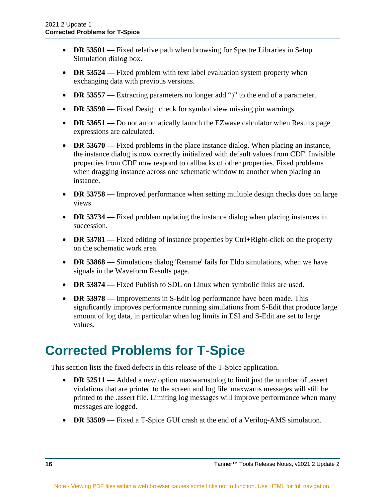- **DR 53501** Fixed relative path when browsing for Spectre Libraries in Setup Simulation dialog box.
- **DR 53524** Fixed problem with text label evaluation system property when exchanging data with previous versions.
- **DR 53557** Extracting parameters no longer add ")" to the end of a parameter.
- **DR 53590** Fixed Design check for symbol view missing pin warnings.
- **DR 53651** Do not automatically launch the EZwave calculator when Results page expressions are calculated.
- **DR 53670** Fixed problems in the place instance dialog. When placing an instance, the instance dialog is now correctly initialized with default values from CDF. Invisible properties from CDF now respond to callbacks of other properties. Fixed problems when dragging instance across one schematic window to another when placing an instance.
- **DR 53758** Improved performance when setting multiple design checks does on large views.
- **DR 53734** Fixed problem updating the instance dialog when placing instances in succession.
- **DR 53781** Fixed editing of instance properties by Ctrl+Right-click on the property on the schematic work area.
- **DR 53868** Simulations dialog 'Rename' fails for Eldo simulations, when we have signals in the Waveform Results page.
- **DR 53874** Fixed Publish to SDL on Linux when symbolic links are used.
- **DR 53978** Improvements in S-Edit log performance have been made. This significantly improves performance running simulations from S-Edit that produce large amount of log data, in particular when log limits in ESI and S-Edit are set to large values.

#### <span id="page-15-0"></span>**Corrected Problems for T-Spice**

This section lists the fixed defects in this release of the T-Spice application.

- **DR 52511** Added a new option maxwarnstolog to limit just the number of .assert violations that are printed to the screen and log file. maxwarns messages will still be printed to the .assert file. Limiting log messages will improve performance when many messages are logged.
- **DR 53509** Fixed a T-Spice GUI crash at the end of a Verilog-AMS simulation.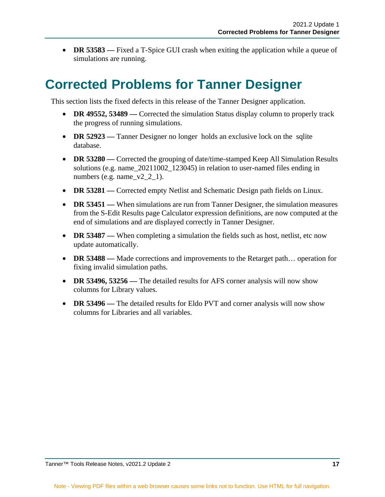• **DR 53583** — Fixed a T-Spice GUI crash when exiting the application while a queue of simulations are running.

#### <span id="page-16-0"></span>**Corrected Problems for Tanner Designer**

This section lists the fixed defects in this release of the Tanner Designer application.

- **DR 49552, 53489** Corrected the simulation Status display column to properly track the progress of running simulations.
- **DR 52923** Tanner Designer no longer holds an exclusive lock on the sqlite database.
- **DR 53280** Corrected the grouping of date/time-stamped Keep All Simulation Results solutions (e.g. name\_20211002\_123045) in relation to user-named files ending in numbers (e.g. name\_ $v2_2_1$ ).
- **DR 53281** Corrected empty Netlist and Schematic Design path fields on Linux.
- **DR 53451** When simulations are run from Tanner Designer, the simulation measures from the S-Edit Results page Calculator expression definitions, are now computed at the end of simulations and are displayed correctly in Tanner Designer.
- **DR 53487** When completing a simulation the fields such as host, netlist, etc now update automatically.
- **DR 53488** Made corrections and improvements to the Retarget path... operation for fixing invalid simulation paths.
- **DR 53496, 53256** The detailed results for AFS corner analysis will now show columns for Library values.
- **DR 53496** The detailed results for Eldo PVT and corner analysis will now show columns for Libraries and all variables.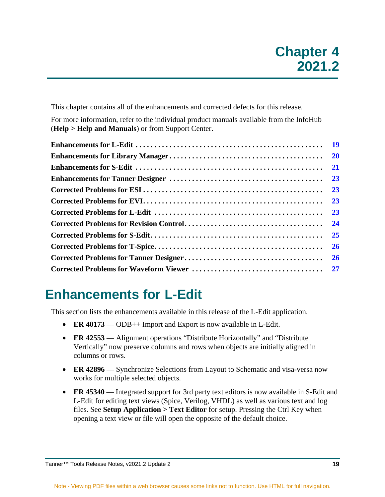<span id="page-18-0"></span>This chapter contains all of the enhancements and corrected defects for this release.

For more information, refer to the individual product manuals available from the InfoHub (**Help > Help and Manuals**) or from Support Center.

| <b>20</b> |
|-----------|
| <b>21</b> |
| 23        |
| 23        |
| 23        |
| 23        |
| 24        |
| 25        |
| <b>26</b> |
| <b>26</b> |
|           |

#### <span id="page-18-1"></span>**Enhancements for L-Edit**

This section lists the enhancements available in this release of the L-Edit application.

- **ER 40173** ODB++ Import and Export is now available in L-Edit.
- **ER 42553** Alignment operations "Distribute Horizontally" and "Distribute Vertically" now preserve columns and rows when objects are initially aligned in columns or rows.
- **ER 42896** Synchronize Selections from Layout to Schematic and visa-versa now works for multiple selected objects.
- **ER 45340** Integrated support for 3rd party text editors is now available in S-Edit and L-Edit for editing text views (Spice, Verilog, VHDL) as well as various text and log files. See **Setup Application > Text Editor** for setup. Pressing the Ctrl Key when opening a text view or file will open the opposite of the default choice.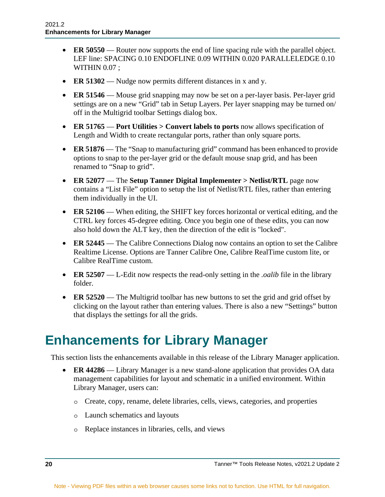- **ER 50550** Router now supports the end of line spacing rule with the parallel object. LEF line: SPACING 0.10 ENDOFLINE 0.09 WITHIN 0.020 PARALLELEDGE 0.10 WITHIN  $0.07$ ;
- **ER 51302** Nudge now permits different distances in x and y.
- **ER 51546** Mouse grid snapping may now be set on a per-layer basis. Per-layer grid settings are on a new "Grid" tab in Setup Layers. Per layer snapping may be turned on/ off in the Multigrid toolbar Settings dialog box.
- **ER 51765 Port Utilities > Convert labels to ports** now allows specification of Length and Width to create rectangular ports, rather than only square ports.
- **ER 51876** The "Snap to manufacturing grid" command has been enhanced to provide options to snap to the per-layer grid or the default mouse snap grid, and has been renamed to "Snap to grid".
- **ER 52077** The **Setup Tanner Digital Implementer > Netlist/RTL** page now contains a "List File" option to setup the list of Netlist/RTL files, rather than entering them individually in the UI.
- **ER 52106** When editing, the SHIFT key forces horizontal or vertical editing, and the CTRL key forces 45-degree editing. Once you begin one of these edits, you can now also hold down the ALT key, then the direction of the edit is "locked".
- **ER 52445** The Calibre Connections Dialog now contains an option to set the Calibre Realtime License. Options are Tanner Calibre One, Calibre RealTime custom lite, or Calibre RealTime custom.
- **ER 52507** L-Edit now respects the read-only setting in the *.oalib* file in the library folder.
- **ER 52520** The Multigrid toolbar has new buttons to set the grid and grid offset by clicking on the layout rather than entering values. There is also a new "Settings" button that displays the settings for all the grids.

#### <span id="page-19-0"></span>**Enhancements for Library Manager**

This section lists the enhancements available in this release of the Library Manager application.

- **ER 44286** Library Manager is a new stand-alone application that provides OA data management capabilities for layout and schematic in a unified environment. Within Library Manager, users can:
	- o Create, copy, rename, delete libraries, cells, views, categories, and properties
	- o Launch schematics and layouts
	- o Replace instances in libraries, cells, and views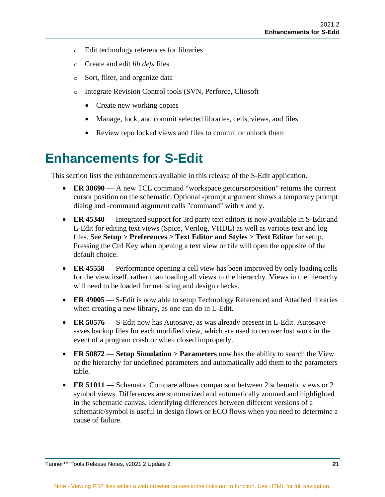- o Edit technology references for libraries
- o Create and edit *lib.defs* files
- o Sort, filter, and organize data
- o Integrate Revision Control tools (SVN, Perforce, Cliosoft
	- Create new working copies
	- Manage, lock, and commit selected libraries, cells, views, and files
	- Review repo locked views and files to commit or unlock them

#### <span id="page-20-0"></span>**Enhancements for S-Edit**

This section lists the enhancements available in this release of the S-Edit application.

- **ER 38690** A new TCL command "workspace getcursorposition" returns the current cursor position on the schematic. Optional -prompt argument shows a temporary prompt dialog and -command argument calls "command" with x and y.
- **ER 45340** Integrated support for 3rd party text editors is now available in S-Edit and L-Edit for editing text views (Spice, Verilog, VHDL) as well as various text and log files. See **Setup > Preferences > Text Editor and Styles > Text Editor** for setup. Pressing the Ctrl Key when opening a text view or file will open the opposite of the default choice.
- **ER 45558** Performance opening a cell view has been improved by only loading cells for the view itself, rather than loading all views in the hierarchy. Views in the hierarchy will need to be loaded for netlisting and design checks.
- **ER 49005** S-Edit is now able to setup Technology Referenced and Attached libraries when creating a new library, as one can do in L-Edit.
- **ER 50576** S-Edit now has Autosave, as was already present in L-Edit. Autosave saves backup files for each modified view, which are used to recover lost work in the event of a program crash or when closed improperly.
- **ER 50872 Setup Simulation > Parameters** now has the ability to search the View or the hierarchy for undefined parameters and automatically add them to the parameters table.
- **ER 51011** Schematic Compare allows comparison between 2 schematic views or 2 symbol views. Differences are summarized and automatically zoomed and highlighted in the schematic canvas. Identifying differences between different versions of a schematic/symbol is useful in design flows or ECO flows when you need to determine a cause of failure.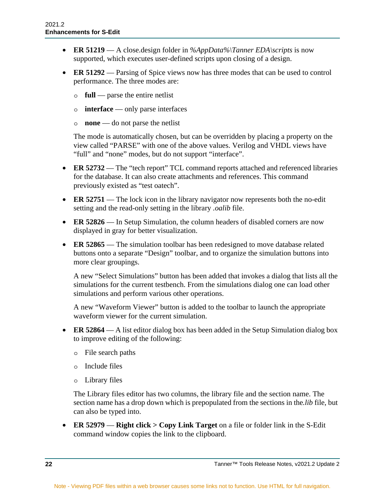- **ER 51219** A close.design folder in *%AppData%\Tanner EDA\scripts* is now supported, which executes user-defined scripts upon closing of a design.
- **ER 51292** Parsing of Spice views now has three modes that can be used to control performance. The three modes are:
	- o **full** parse the entire netlist
	- o **interface** only parse interfaces
	- o **none** do not parse the netlist

The mode is automatically chosen, but can be overridden by placing a property on the view called "PARSE" with one of the above values. Verilog and VHDL views have "full" and "none" modes, but do not support "interface".

- **ER 52732** The "tech report" TCL command reports attached and referenced libraries for the database. It can also create attachments and references. This command previously existed as "test oatech".
- **ER 52751** The lock icon in the library navigator now represents both the no-edit setting and the read-only setting in the library *.oalib* file.
- **ER 52826** In Setup Simulation, the column headers of disabled corners are now displayed in gray for better visualization.
- **ER 52865** The simulation toolbar has been redesigned to move database related buttons onto a separate "Design" toolbar, and to organize the simulation buttons into more clear groupings.

A new "Select Simulations" button has been added that invokes a dialog that lists all the simulations for the current testbench. From the simulations dialog one can load other simulations and perform various other operations.

A new "Waveform Viewer" button is added to the toolbar to launch the appropriate waveform viewer for the current simulation.

- **ER 52864** A list editor dialog box has been added in the Setup Simulation dialog box to improve editing of the following:
	- o File search paths
	- o Include files
	- o Library files

The Library files editor has two columns, the library file and the section name. The section name has a drop down which is prepopulated from the sections in the*.lib* file, but can also be typed into.

• **ER 52979** — **Right click > Copy Link Target** on a file or folder link in the S-Edit command window copies the link to the clipboard.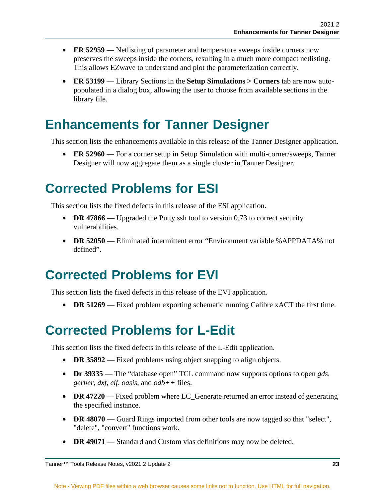- **ER 52959** Netlisting of parameter and temperature sweeps inside corners now preserves the sweeps inside the corners, resulting in a much more compact netlisting. This allows EZwave to understand and plot the parameterization correctly.
- **ER 53199** Library Sections in the **Setup Simulations > Corners** tab are now autopopulated in a dialog box, allowing the user to choose from available sections in the library file.

#### <span id="page-22-0"></span>**Enhancements for Tanner Designer**

This section lists the enhancements available in this release of the Tanner Designer application.

• **ER 52960** — For a corner setup in Setup Simulation with multi-corner/sweeps, Tanner Designer will now aggregate them as a single cluster in Tanner Designer.

#### <span id="page-22-1"></span>**Corrected Problems for ESI**

This section lists the fixed defects in this release of the ESI application.

- **DR 47866** Upgraded the Putty ssh tool to version 0.73 to correct security vulnerabilities.
- **DR 52050** Eliminated intermittent error "Environment variable %APPDATA% not defined".

#### <span id="page-22-2"></span>**Corrected Problems for EVI**

This section lists the fixed defects in this release of the EVI application.

• **DR 51269** — Fixed problem exporting schematic running Calibre xACT the first time.

#### <span id="page-22-3"></span>**Corrected Problems for L-Edit**

This section lists the fixed defects in this release of the L-Edit application.

- **DR 35892** Fixed problems using object snapping to align objects.
- **Dr 39335** The "database open" TCL command now supports options to open *gds*, *gerber*, *dxf*, *cif*, *oasis*, and *odb++* files.
- **DR 47220** Fixed problem where LC\_Generate returned an error instead of generating the specified instance.
- **DR 48070** Guard Rings imported from other tools are now tagged so that "select", "delete", "convert" functions work.
- **DR 49071** Standard and Custom vias definitions may now be deleted.

Tanner™ Tools Release Notes, v2021.2 Update 2 **23**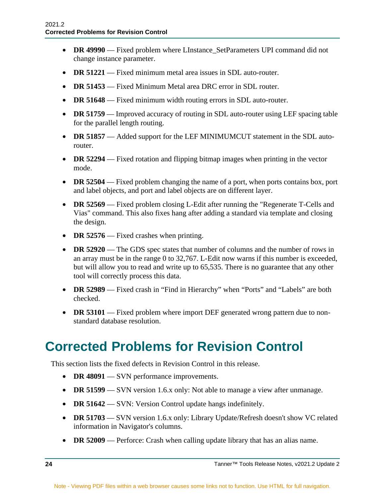- **DR 49990** Fixed problem where LInstance\_SetParameters UPI command did not change instance parameter.
- **DR 51221** Fixed minimum metal area issues in SDL auto-router.
- **DR 51453** Fixed Minimum Metal area DRC error in SDL router.
- **DR 51648** Fixed minimum width routing errors in SDL auto-router.
- **DR 51759** Improved accuracy of routing in SDL auto-router using LEF spacing table for the parallel length routing.
- **DR 51857** Added support for the LEF MINIMUMCUT statement in the SDL autorouter.
- **DR 52294** Fixed rotation and flipping bitmap images when printing in the vector mode.
- **DR 52504** Fixed problem changing the name of a port, when ports contains box, port and label objects, and port and label objects are on different layer.
- **DR 52569** Fixed problem closing L-Edit after running the "Regenerate T-Cells and Vias" command. This also fixes hang after adding a standard via template and closing the design.
- **DR 52576** Fixed crashes when printing.
- **DR 52920** The GDS spec states that number of columns and the number of rows in an array must be in the range 0 to 32,767. L-Edit now warns if this number is exceeded, but will allow you to read and write up to 65,535. There is no guarantee that any other tool will correctly process this data.
- **DR 52989** Fixed crash in "Find in Hierarchy" when "Ports" and "Labels" are both checked.
- **DR 53101** Fixed problem where import DEF generated wrong pattern due to nonstandard database resolution.

#### <span id="page-23-0"></span>**Corrected Problems for Revision Control**

This section lists the fixed defects in Revision Control in this release.

- **DR 48091** SVN performance improvements.
- **DR 51599** SVN version 1.6.x only: Not able to manage a view after unmanage.
- **DR 51642** SVN: Version Control update hangs indefinitely.
- **DR 51703** SVN version 1.6.x only: Library Update/Refresh doesn't show VC related information in Navigator's columns.
- **DR 52009** Perforce: Crash when calling update library that has an alias name.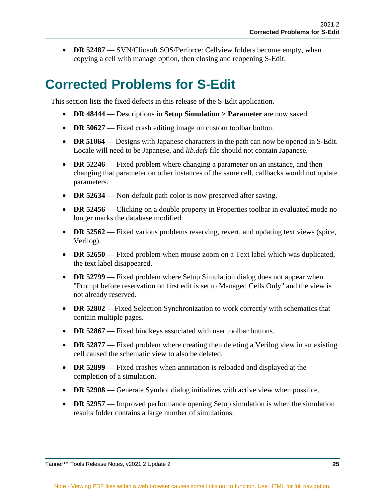• **DR 52487** — SVN/Cliosoft SOS/Perforce: Cellyiew folders become empty, when copying a cell with manage option, then closing and reopening S-Edit.

### <span id="page-24-0"></span>**Corrected Problems for S-Edit**

This section lists the fixed defects in this release of the S-Edit application.

- **DR 48444** Descriptions in **Setup Simulation > Parameter** are now saved.
- **DR 50627** Fixed crash editing image on custom toolbar button.
- **DR 51064** Designs with Japanese characters in the path can now be opened in S-Edit. Locale will need to be Japanese, and *lib.defs* file should not contain Japanese.
- **DR 52246** Fixed problem where changing a parameter on an instance, and then changing that parameter on other instances of the same cell, callbacks would not update parameters.
- **DR 52634** Non-default path color is now preserved after saving.
- **DR 52456** Clicking on a double property in Properties toolbar in evaluated mode no longer marks the database modified.
- **DR 52562** Fixed various problems reserving, revert, and updating text views (spice, Verilog).
- **DR 52650** Fixed problem when mouse zoom on a Text label which was duplicated, the text label disappeared.
- **DR 52799** Fixed problem where Setup Simulation dialog does not appear when "Prompt before reservation on first edit is set to Managed Cells Only" and the view is not already reserved.
- **DR 52802** —Fixed Selection Synchronization to work correctly with schematics that contain multiple pages.
- **DR 52867** Fixed bindkeys associated with user toolbar buttons.
- **DR 52877** Fixed problem where creating then deleting a Verilog view in an existing cell caused the schematic view to also be deleted.
- **DR 52899** Fixed crashes when annotation is reloaded and displayed at the completion of a simulation.
- **DR 52908** Generate Symbol dialog initializes with active view when possible.
- **DR 52957** Improved performance opening Setup simulation is when the simulation results folder contains a large number of simulations.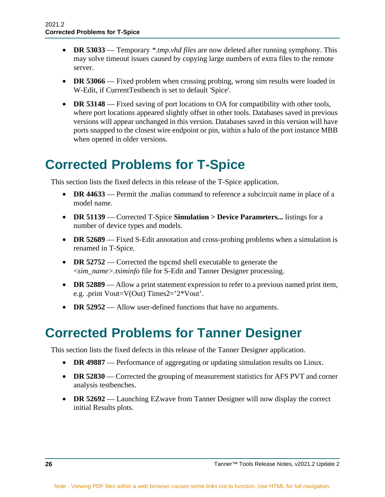- **DR 53033** Temporary *\*.tmp.vhd files* are now deleted after running symphony. This may solve timeout issues caused by copying large numbers of extra files to the remote server.
- **DR 53066** Fixed problem when crossing probing, wrong sim results were loaded in W-Edit, if CurrentTestbench is set to default 'Spice'.
- **DR 53148** Fixed saving of port locations to OA for compatibility with other tools, where port locations appeared slightly offset in other tools. Databases saved in previous versions will appear unchanged in this version. Databases saved in this version will have ports snapped to the closest wire endpoint or pin, within a halo of the port instance MBB when opened in older versions.

#### <span id="page-25-0"></span>**Corrected Problems for T-Spice**

This section lists the fixed defects in this release of the T-Spice application.

- **DR 44633** Permit the malias command to reference a subcircuit name in place of a model name.
- **DR 51139** Corrected T-Spice **Simulation > Device Parameters...** listings for a number of device types and models.
- **DR 52689** Fixed S-Edit annotation and cross-probing problems when a simulation is renamed in T-Spice.
- **DR 52752** Corrected the tspcmd shell executable to generate the <*sim\_name>.tsiminfo* file for S-Edit and Tanner Designer processing.
- **DR 52889** Allow a print statement expression to refer to a previous named print item, e.g. .print Vout=V(Out) Times2='2\*Vout'.
- **DR 52952** Allow user-defined functions that have no arguments.

#### <span id="page-25-1"></span>**Corrected Problems for Tanner Designer**

This section lists the fixed defects in this release of the Tanner Designer application.

- **DR 49887** Performance of aggregating or updating simulation results on Linux.
- **DR 52830** Corrected the grouping of measurement statistics for AFS PVT and corner analysis testbenches.
- **DR 52692** Launching EZwave from Tanner Designer will now display the correct initial Results plots.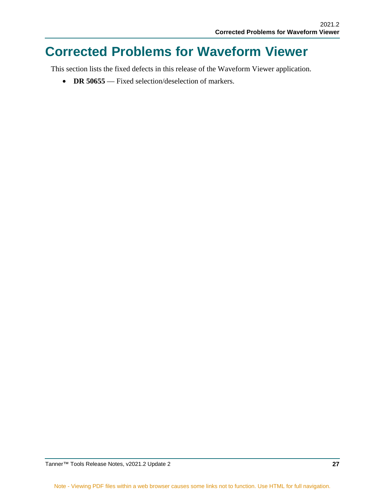#### <span id="page-26-0"></span>**Corrected Problems for Waveform Viewer**

This section lists the fixed defects in this release of the Waveform Viewer application.

• **DR 50655** — Fixed selection/deselection of markers.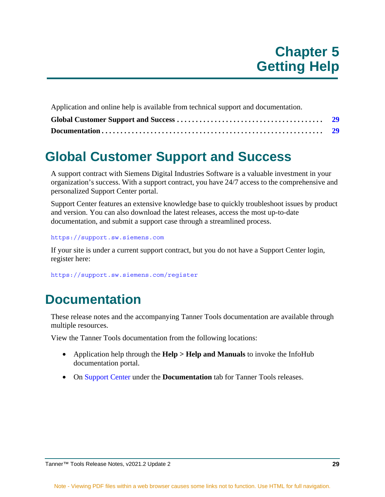<span id="page-28-0"></span>Application and online help is available from technical support and documentation.

### <span id="page-28-1"></span>**Global Customer Support and Success**

A support contract with Siemens Digital Industries Software is a valuable investment in your organization's success. With a support contract, you have 24/7 access to the comprehensive and personalized Support Center portal.

Support Center features an extensive knowledge base to quickly troubleshoot issues by product and version. You can also download the latest releases, access the most up-to-date documentation, and submit a support case through a streamlined process.

<https://support.sw.siemens.com>

If your site is under a current support contract, but you do not have a Support Center login, register here:

<https://support.sw.siemens.com/register>

#### <span id="page-28-2"></span>**Documentation**

These release notes and the accompanying Tanner Tools documentation are available through multiple resources.

View the Tanner Tools documentation from the following locations:

- Application help through the **Help > Help and Manuals** to invoke the InfoHub documentation portal.
- On [Support Center](https://support.mentor.com) under the **Documentation** tab for Tanner Tools releases.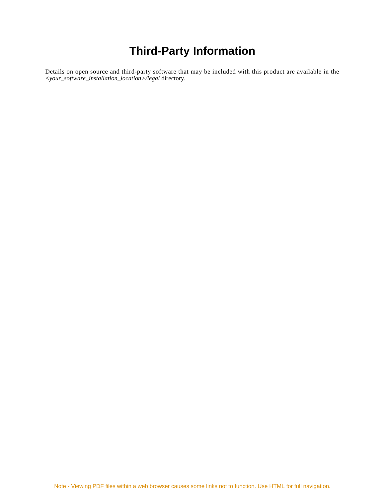#### **Third-Party Information**

<span id="page-30-0"></span>Details on open source and third-party software that may be included with this product are available in the *<your\_software\_installation\_location>/legal* directory.